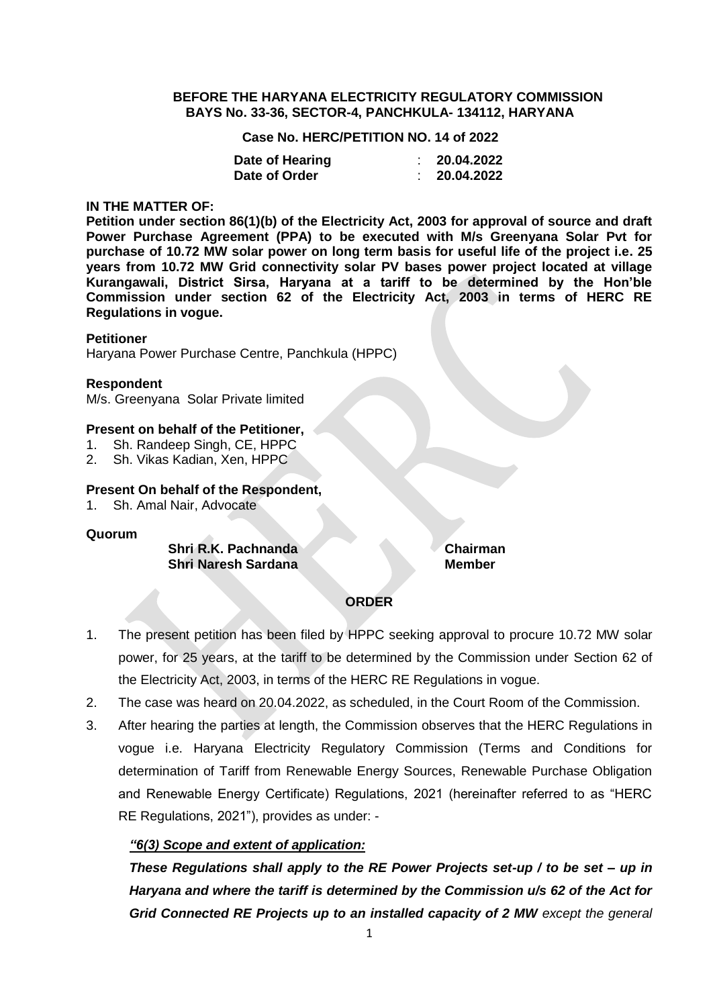#### **BEFORE THE HARYANA ELECTRICITY REGULATORY COMMISSION BAYS No. 33-36, SECTOR-4, PANCHKULA- 134112, HARYANA**

**Case No. HERC/PETITION NO. 14 of 2022**

| Date of Hearing | 20.04.2022 |
|-----------------|------------|
| Date of Order   | 20.04.2022 |

#### **IN THE MATTER OF:**

**Petition under section 86(1)(b) of the Electricity Act, 2003 for approval of source and draft Power Purchase Agreement (PPA) to be executed with M/s Greenyana Solar Pvt for purchase of 10.72 MW solar power on long term basis for useful life of the project i.e. 25 years from 10.72 MW Grid connectivity solar PV bases power project located at village Kurangawali, District Sirsa, Haryana at a tariff to be determined by the Hon'ble Commission under section 62 of the Electricity Act, 2003 in terms of HERC RE Regulations in vogue.**

## **Petitioner**

Haryana Power Purchase Centre, Panchkula (HPPC)

## **Respondent**

M/s. Greenyana Solar Private limited

## **Present on behalf of the Petitioner,**

- 1. Sh. Randeep Singh, CE, HPPC
- 2. Sh. Vikas Kadian, Xen, HPPC

## **Present On behalf of the Respondent,**

1. Sh. Amal Nair, Advocate

#### **Quorum**

**Shri R.K. Pachnanda Chairman Shri Naresh Sardana Member** 

# **ORDER**

- 1. The present petition has been filed by HPPC seeking approval to procure 10.72 MW solar power, for 25 years, at the tariff to be determined by the Commission under Section 62 of the Electricity Act, 2003, in terms of the HERC RE Regulations in vogue.
- 2. The case was heard on 20.04.2022, as scheduled, in the Court Room of the Commission.
- 3. After hearing the parties at length, the Commission observes that the HERC Regulations in vogue i.e. Haryana Electricity Regulatory Commission (Terms and Conditions for determination of Tariff from Renewable Energy Sources, Renewable Purchase Obligation and Renewable Energy Certificate) Regulations, 2021 (hereinafter referred to as "HERC RE Regulations, 2021"), provides as under: -

# *"6(3) Scope and extent of application:*

*These Regulations shall apply to the RE Power Projects set-up / to be set – up in Haryana and where the tariff is determined by the Commission u/s 62 of the Act for Grid Connected RE Projects up to an installed capacity of 2 MW except the general*